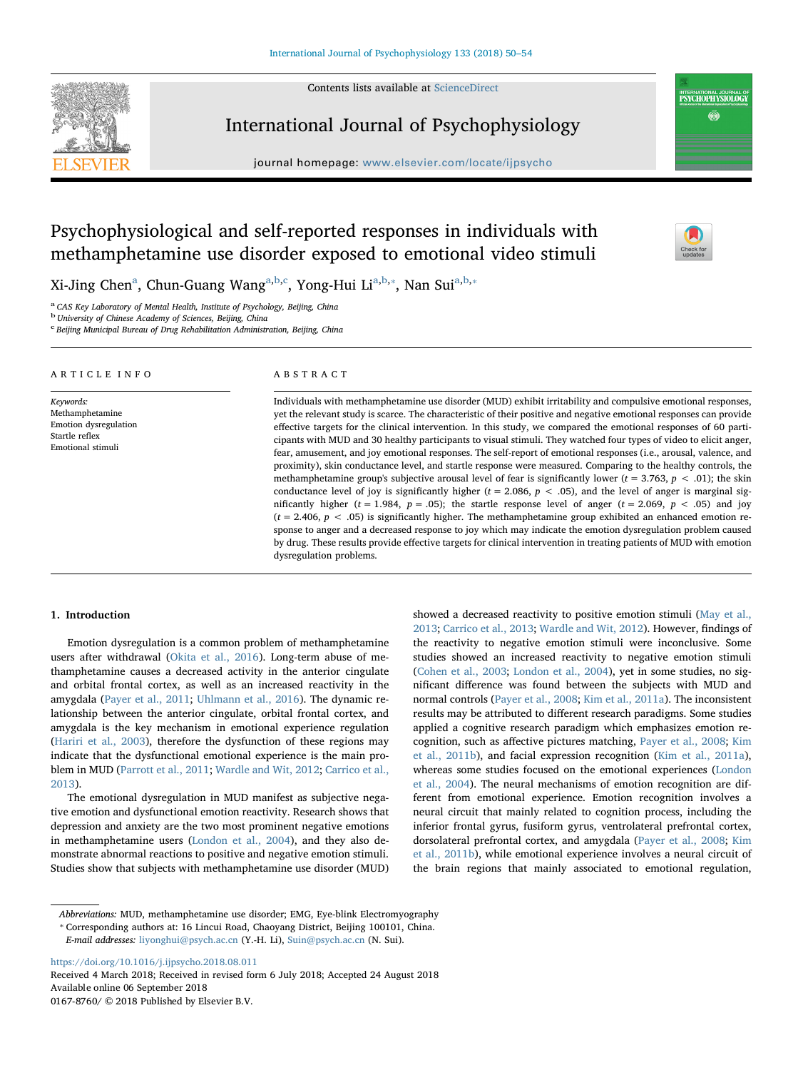Contents lists available at [ScienceDirect](http://www.sciencedirect.com/science/journal/01678760)



International Journal of Psychophysiology

journal homepage: [www.elsevier.com/locate/ijpsycho](https://www.elsevier.com/locate/ijpsycho)



INTERNATIONAL JOURNAL O<br>**PSYCHOPHYSIOLOGY** 

# Psychophysiological and self-reported responses in individuals with methamphetamine use disorder exposed to emotional video stimuli

Xi-Jing Chen<sup>[a](#page-0-0)</sup>, Chun-Guang Wang<sup>a[,b,](#page-0-1)[c](#page-0-2)</sup>, Yong-Hui Li<sup>[a,](#page-0-0)[b](#page-0-1),\*</sup>, Nan Sui<sup>a,[b,](#page-0-1)\*</sup>

<span id="page-0-0"></span><sup>a</sup> CAS Key Laboratory of Mental Health, Institute of Psychology, Beijing, China

<span id="page-0-1"></span><sup>b</sup> University of Chinese Academy of Sciences, Beijing, China

<span id="page-0-2"></span><sup>c</sup> Beijing Municipal Bureau of Drug Rehabilitation Administration, Beijing, China

| ARTICLE INFO                                                                                 | ABSTRACT                                                                                                                                                                                                                                                                                                                                                                                                                                                                                                                                                                                                                                                                                                                                                                                                                                                                                                                                                                                                                                                                                                                                                                                                                                                                                                                                                                                                                                                                        |  |  |
|----------------------------------------------------------------------------------------------|---------------------------------------------------------------------------------------------------------------------------------------------------------------------------------------------------------------------------------------------------------------------------------------------------------------------------------------------------------------------------------------------------------------------------------------------------------------------------------------------------------------------------------------------------------------------------------------------------------------------------------------------------------------------------------------------------------------------------------------------------------------------------------------------------------------------------------------------------------------------------------------------------------------------------------------------------------------------------------------------------------------------------------------------------------------------------------------------------------------------------------------------------------------------------------------------------------------------------------------------------------------------------------------------------------------------------------------------------------------------------------------------------------------------------------------------------------------------------------|--|--|
| Keywords:<br>Methamphetamine<br>Emotion dysregulation<br>Startle reflex<br>Emotional stimuli | Individuals with methamphetamine use disorder (MUD) exhibit irritability and compulsive emotional responses,<br>yet the relevant study is scarce. The characteristic of their positive and negative emotional responses can provide<br>effective targets for the clinical intervention. In this study, we compared the emotional responses of 60 parti-<br>cipants with MUD and 30 healthy participants to visual stimuli. They watched four types of video to elicit anger,<br>fear, amusement, and joy emotional responses. The self-report of emotional responses (i.e., arousal, valence, and<br>proximity), skin conductance level, and startle response were measured. Comparing to the healthy controls, the<br>methamphetamine group's subjective arousal level of fear is significantly lower ( $t = 3.763$ , $p < .01$ ); the skin<br>conductance level of joy is significantly higher ( $t = 2.086$ , $p < .05$ ), and the level of anger is marginal sig-<br>nificantly higher ( $t = 1.984$ , $p = .05$ ); the startle response level of anger ( $t = 2.069$ , $p < .05$ ) and joy<br>$(t = 2.406, p < .05)$ is significantly higher. The methamphetamine group exhibited an enhanced emotion re-<br>sponse to anger and a decreased response to joy which may indicate the emotion dysregulation problem caused<br>by drug. These results provide effective targets for clinical intervention in treating patients of MUD with emotion<br>dysregulation problems. |  |  |

# 1. Introduction

Emotion dysregulation is a common problem of methamphetamine users after withdrawal [\(Okita et al., 2016](#page-4-0)). Long-term abuse of methamphetamine causes a decreased activity in the anterior cingulate and orbital frontal cortex, as well as an increased reactivity in the amygdala ([Payer et al., 2011](#page-4-1); [Uhlmann et al., 2016](#page-4-2)). The dynamic relationship between the anterior cingulate, orbital frontal cortex, and amygdala is the key mechanism in emotional experience regulation ([Hariri et al., 2003\)](#page-4-3), therefore the dysfunction of these regions may indicate that the dysfunctional emotional experience is the main problem in MUD [\(Parrott et al., 2011;](#page-4-4) [Wardle and Wit, 2012](#page-4-5); [Carrico et al.,](#page-4-6) [2013\)](#page-4-6).

The emotional dysregulation in MUD manifest as subjective negative emotion and dysfunctional emotion reactivity. Research shows that depression and anxiety are the two most prominent negative emotions in methamphetamine users ([London et al., 2004](#page-4-7)), and they also demonstrate abnormal reactions to positive and negative emotion stimuli. Studies show that subjects with methamphetamine use disorder (MUD) showed a decreased reactivity to positive emotion stimuli [\(May et al.,](#page-4-8) [2013;](#page-4-8) [Carrico et al., 2013;](#page-4-6) [Wardle and Wit, 2012](#page-4-5)). However, findings of the reactivity to negative emotion stimuli were inconclusive. Some studies showed an increased reactivity to negative emotion stimuli ([Cohen et al., 2003;](#page-4-9) [London et al., 2004\)](#page-4-7), yet in some studies, no significant difference was found between the subjects with MUD and normal controls [\(Payer et al., 2008;](#page-4-10) [Kim et al., 2011a\)](#page-4-11). The inconsistent results may be attributed to different research paradigms. Some studies applied a cognitive research paradigm which emphasizes emotion recognition, such as affective pictures matching, [Payer et al., 2008](#page-4-10); [Kim](#page-4-12) [et al., 2011b](#page-4-12)), and facial expression recognition [\(Kim et al., 2011a](#page-4-11)), whereas some studies focused on the emotional experiences [\(London](#page-4-7) [et al., 2004](#page-4-7)). The neural mechanisms of emotion recognition are different from emotional experience. Emotion recognition involves a neural circuit that mainly related to cognition process, including the inferior frontal gyrus, fusiform gyrus, ventrolateral prefrontal cortex, dorsolateral prefrontal cortex, and amygdala [\(Payer et al., 2008](#page-4-10); [Kim](#page-4-12) [et al., 2011b](#page-4-12)), while emotional experience involves a neural circuit of the brain regions that mainly associated to emotional regulation,

<https://doi.org/10.1016/j.ijpsycho.2018.08.011>

Received 4 March 2018; Received in revised form 6 July 2018; Accepted 24 August 2018 Available online 06 September 2018 0167-8760/ © 2018 Published by Elsevier B.V.

Abbreviations: MUD, methamphetamine use disorder; EMG, Eye-blink Electromyography \* Corresponding authors at: 16 Lincui Road, Chaoyang District, Beijing 100101, China.

<span id="page-0-3"></span>

E-mail addresses: [liyonghui@psych.ac.cn](mailto:liyonghui@psych.ac.cn) (Y.-H. Li), [Suin@psych.ac.cn](mailto:Suin@psych.ac.cn) (N. Sui).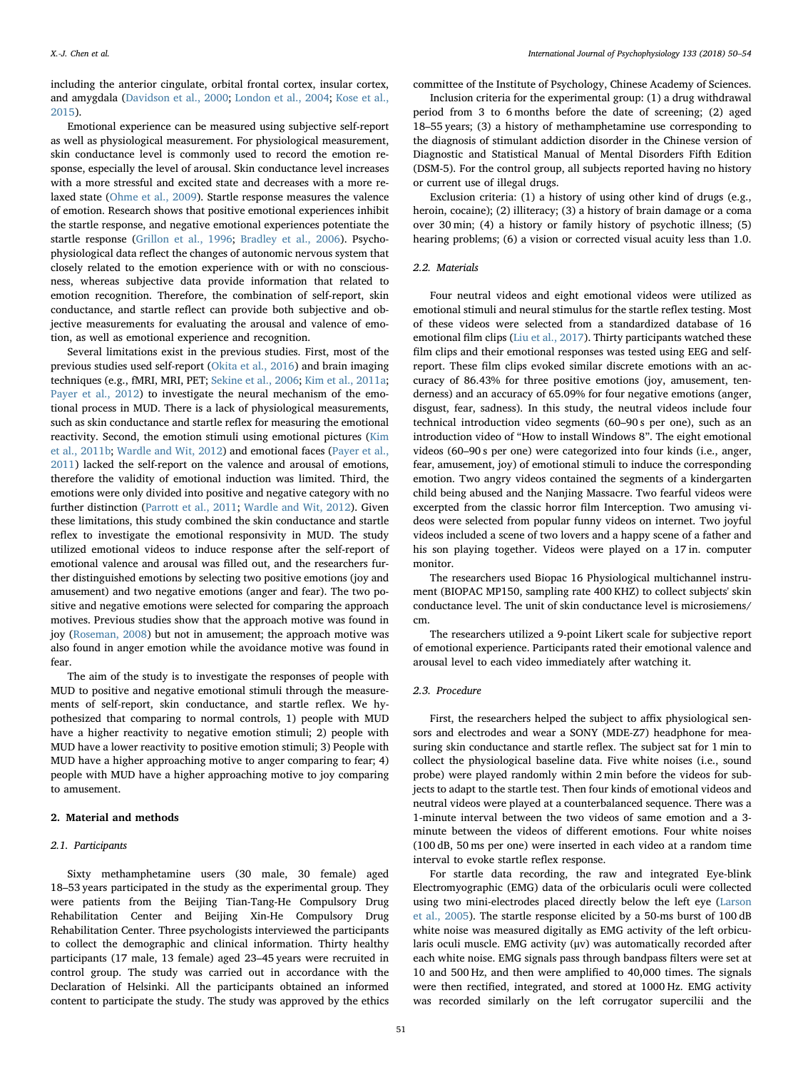including the anterior cingulate, orbital frontal cortex, insular cortex, and amygdala [\(Davidson et al., 2000;](#page-4-13) [London et al., 2004](#page-4-7); [Kose et al.,](#page-4-14) [2015\)](#page-4-14).

Emotional experience can be measured using subjective self-report as well as physiological measurement. For physiological measurement, skin conductance level is commonly used to record the emotion response, especially the level of arousal. Skin conductance level increases with a more stressful and excited state and decreases with a more relaxed state [\(Ohme et al., 2009\)](#page-4-15). Startle response measures the valence of emotion. Research shows that positive emotional experiences inhibit the startle response, and negative emotional experiences potentiate the startle response ([Grillon et al., 1996](#page-4-16); [Bradley et al., 2006](#page-4-17)). Psychophysiological data reflect the changes of autonomic nervous system that closely related to the emotion experience with or with no consciousness, whereas subjective data provide information that related to emotion recognition. Therefore, the combination of self-report, skin conductance, and startle reflect can provide both subjective and objective measurements for evaluating the arousal and valence of emotion, as well as emotional experience and recognition.

Several limitations exist in the previous studies. First, most of the previous studies used self-report ([Okita et al., 2016\)](#page-4-0) and brain imaging techniques (e.g., fMRI, MRI, PET; [Sekine et al., 2006;](#page-4-18) [Kim et al., 2011a](#page-4-11); [Payer et al., 2012](#page-4-19)) to investigate the neural mechanism of the emotional process in MUD. There is a lack of physiological measurements, such as skin conductance and startle reflex for measuring the emotional reactivity. Second, the emotion stimuli using emotional pictures [\(Kim](#page-4-12) [et al., 2011b](#page-4-12); [Wardle and Wit, 2012](#page-4-5)) and emotional faces ([Payer et al.,](#page-4-1) [2011\)](#page-4-1) lacked the self-report on the valence and arousal of emotions, therefore the validity of emotional induction was limited. Third, the emotions were only divided into positive and negative category with no further distinction ([Parrott et al., 2011](#page-4-4); [Wardle and Wit, 2012](#page-4-5)). Given these limitations, this study combined the skin conductance and startle reflex to investigate the emotional responsivity in MUD. The study utilized emotional videos to induce response after the self-report of emotional valence and arousal was filled out, and the researchers further distinguished emotions by selecting two positive emotions (joy and amusement) and two negative emotions (anger and fear). The two positive and negative emotions were selected for comparing the approach motives. Previous studies show that the approach motive was found in joy [\(Roseman, 2008](#page-4-20)) but not in amusement; the approach motive was also found in anger emotion while the avoidance motive was found in fear.

The aim of the study is to investigate the responses of people with MUD to positive and negative emotional stimuli through the measurements of self-report, skin conductance, and startle reflex. We hypothesized that comparing to normal controls, 1) people with MUD have a higher reactivity to negative emotion stimuli; 2) people with MUD have a lower reactivity to positive emotion stimuli; 3) People with MUD have a higher approaching motive to anger comparing to fear; 4) people with MUD have a higher approaching motive to joy comparing to amusement.

# 2. Material and methods

## 2.1. Participants

Sixty methamphetamine users (30 male, 30 female) aged 18–53 years participated in the study as the experimental group. They were patients from the Beijing Tian-Tang-He Compulsory Drug Rehabilitation Center and Beijing Xin-He Compulsory Drug Rehabilitation Center. Three psychologists interviewed the participants to collect the demographic and clinical information. Thirty healthy participants (17 male, 13 female) aged 23–45 years were recruited in control group. The study was carried out in accordance with the Declaration of Helsinki. All the participants obtained an informed content to participate the study. The study was approved by the ethics committee of the Institute of Psychology, Chinese Academy of Sciences.

Inclusion criteria for the experimental group: (1) a drug withdrawal period from 3 to 6 months before the date of screening; (2) aged 18–55 years; (3) a history of methamphetamine use corresponding to the diagnosis of stimulant addiction disorder in the Chinese version of Diagnostic and Statistical Manual of Mental Disorders Fifth Edition (DSM-5). For the control group, all subjects reported having no history or current use of illegal drugs.

Exclusion criteria: (1) a history of using other kind of drugs (e.g., heroin, cocaine); (2) illiteracy; (3) a history of brain damage or a coma over 30 min; (4) a history or family history of psychotic illness; (5) hearing problems; (6) a vision or corrected visual acuity less than 1.0.

## 2.2. Materials

Four neutral videos and eight emotional videos were utilized as emotional stimuli and neural stimulus for the startle reflex testing. Most of these videos were selected from a standardized database of 16 emotional film clips ([Liu et al., 2017](#page-4-21)). Thirty participants watched these film clips and their emotional responses was tested using EEG and selfreport. These film clips evoked similar discrete emotions with an accuracy of 86.43% for three positive emotions (joy, amusement, tenderness) and an accuracy of 65.09% for four negative emotions (anger, disgust, fear, sadness). In this study, the neutral videos include four technical introduction video segments (60–90 s per one), such as an introduction video of "How to install Windows 8". The eight emotional videos (60–90 s per one) were categorized into four kinds (i.e., anger, fear, amusement, joy) of emotional stimuli to induce the corresponding emotion. Two angry videos contained the segments of a kindergarten child being abused and the Nanjing Massacre. Two fearful videos were excerpted from the classic horror film Interception. Two amusing videos were selected from popular funny videos on internet. Two joyful videos included a scene of two lovers and a happy scene of a father and his son playing together. Videos were played on a 17 in. computer monitor.

The researchers used Biopac 16 Physiological multichannel instrument (BIOPAC MP150, sampling rate 400 KHZ) to collect subjects' skin conductance level. The unit of skin conductance level is microsiemens/ cm.

The researchers utilized a 9-point Likert scale for subjective report of emotional experience. Participants rated their emotional valence and arousal level to each video immediately after watching it.

## 2.3. Procedure

First, the researchers helped the subject to affix physiological sensors and electrodes and wear a SONY (MDE-Z7) headphone for measuring skin conductance and startle reflex. The subject sat for 1 min to collect the physiological baseline data. Five white noises (i.e., sound probe) were played randomly within 2 min before the videos for subjects to adapt to the startle test. Then four kinds of emotional videos and neutral videos were played at a counterbalanced sequence. There was a 1-minute interval between the two videos of same emotion and a 3 minute between the videos of different emotions. Four white noises (100 dB, 50 ms per one) were inserted in each video at a random time interval to evoke startle reflex response.

For startle data recording, the raw and integrated Eye-blink Electromyographic (EMG) data of the orbicularis oculi were collected using two mini-electrodes placed directly below the left eye [\(Larson](#page-4-22) [et al., 2005\)](#page-4-22). The startle response elicited by a 50-ms burst of 100 dB white noise was measured digitally as EMG activity of the left orbicularis oculi muscle. EMG activity (μv) was automatically recorded after each white noise. EMG signals pass through bandpass filters were set at 10 and 500 Hz, and then were amplified to 40,000 times. The signals were then rectified, integrated, and stored at 1000 Hz. EMG activity was recorded similarly on the left corrugator supercilii and the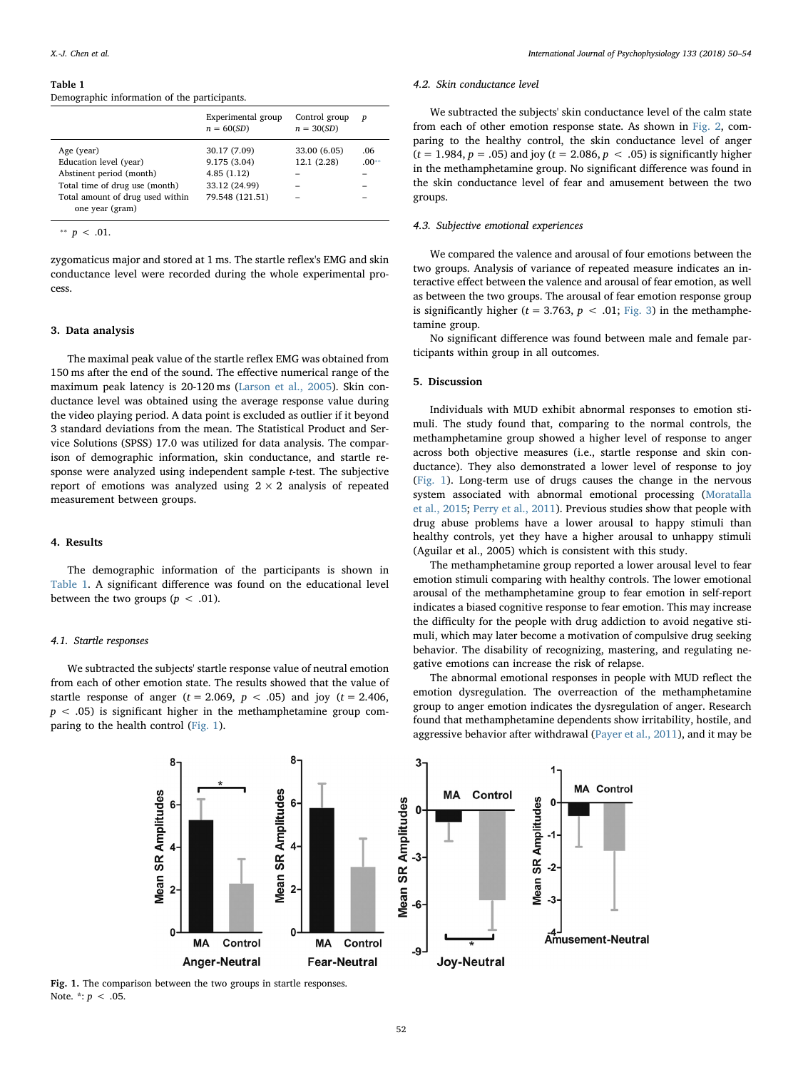#### <span id="page-2-0"></span>Table 1

Demographic information of the participants.

|                                                     | Experimental group<br>$n = 60(SD)$ | Control group<br>$n = 30(SD)$ | p       |
|-----------------------------------------------------|------------------------------------|-------------------------------|---------|
| Age (year)                                          | 30.17 (7.09)                       | 33.00 (6.05)                  | .06     |
| Education level (year)                              | 9.175 (3.04)                       | 12.1 (2.28)                   | $.00**$ |
| Abstinent period (month)                            | 4.85(1.12)                         |                               |         |
| Total time of drug use (month)                      | 33.12 (24.99)                      |                               |         |
| Total amount of drug used within<br>one year (gram) | 79.548 (121.51)                    |                               |         |
|                                                     |                                    |                               |         |

<span id="page-2-2"></span>\*\*  $p < .01$ .

zygomaticus major and stored at 1 ms. The startle reflex's EMG and skin conductance level were recorded during the whole experimental process.

## 3. Data analysis

The maximal peak value of the startle reflex EMG was obtained from 150 ms after the end of the sound. The effective numerical range of the maximum peak latency is 20-120 ms [\(Larson et al., 2005](#page-4-22)). Skin conductance level was obtained using the average response value during the video playing period. A data point is excluded as outlier if it beyond 3 standard deviations from the mean. The Statistical Product and Service Solutions (SPSS) 17.0 was utilized for data analysis. The comparison of demographic information, skin conductance, and startle response were analyzed using independent sample t-test. The subjective report of emotions was analyzed using  $2 \times 2$  analysis of repeated measurement between groups.

# 4. Results

The demographic information of the participants is shown in [Table 1](#page-2-0). A significant difference was found on the educational level between the two groups ( $p < .01$ ).

#### 4.1. Startle responses

<span id="page-2-1"></span>We subtracted the subjects' startle response value of neutral emotion from each of other emotion state. The results showed that the value of startle response of anger ( $t = 2.069$ ,  $p < .05$ ) and joy ( $t = 2.406$ ,  $p < .05$ ) is significant higher in the methamphetamine group comparing to the health control [\(Fig. 1](#page-2-1)).

## 4.2. Skin conductance level

We subtracted the subjects' skin conductance level of the calm state from each of other emotion response state. As shown in [Fig. 2,](#page-3-0) comparing to the healthy control, the skin conductance level of anger  $(t = 1.984, p = .05)$  and joy  $(t = 2.086, p < .05)$  is significantly higher in the methamphetamine group. No significant difference was found in the skin conductance level of fear and amusement between the two groups.

## 4.3. Subjective emotional experiences

We compared the valence and arousal of four emotions between the two groups. Analysis of variance of repeated measure indicates an interactive effect between the valence and arousal of fear emotion, as well as between the two groups. The arousal of fear emotion response group is significantly higher ( $t = 3.763$ ,  $p < .01$ ; [Fig. 3\)](#page-3-1) in the methamphetamine group.

No significant difference was found between male and female participants within group in all outcomes.

#### 5. Discussion

Individuals with MUD exhibit abnormal responses to emotion stimuli. The study found that, comparing to the normal controls, the methamphetamine group showed a higher level of response to anger across both objective measures (i.e., startle response and skin conductance). They also demonstrated a lower level of response to joy ([Fig. 1](#page-2-1)). Long-term use of drugs causes the change in the nervous system associated with abnormal emotional processing ([Moratalla](#page-4-23) [et al., 2015;](#page-4-23) [Perry et al., 2011](#page-4-24)). Previous studies show that people with drug abuse problems have a lower arousal to happy stimuli than healthy controls, yet they have a higher arousal to unhappy stimuli (Aguilar et al., 2005) which is consistent with this study.

The methamphetamine group reported a lower arousal level to fear emotion stimuli comparing with healthy controls. The lower emotional arousal of the methamphetamine group to fear emotion in self-report indicates a biased cognitive response to fear emotion. This may increase the difficulty for the people with drug addiction to avoid negative stimuli, which may later become a motivation of compulsive drug seeking behavior. The disability of recognizing, mastering, and regulating negative emotions can increase the risk of relapse.

The abnormal emotional responses in people with MUD reflect the emotion dysregulation. The overreaction of the methamphetamine group to anger emotion indicates the dysregulation of anger. Research found that methamphetamine dependents show irritability, hostile, and aggressive behavior after withdrawal ([Payer et al., 2011\)](#page-4-1), and it may be



Fig. 1. The comparison between the two groups in startle responses. Note.  $*: p < .05$ .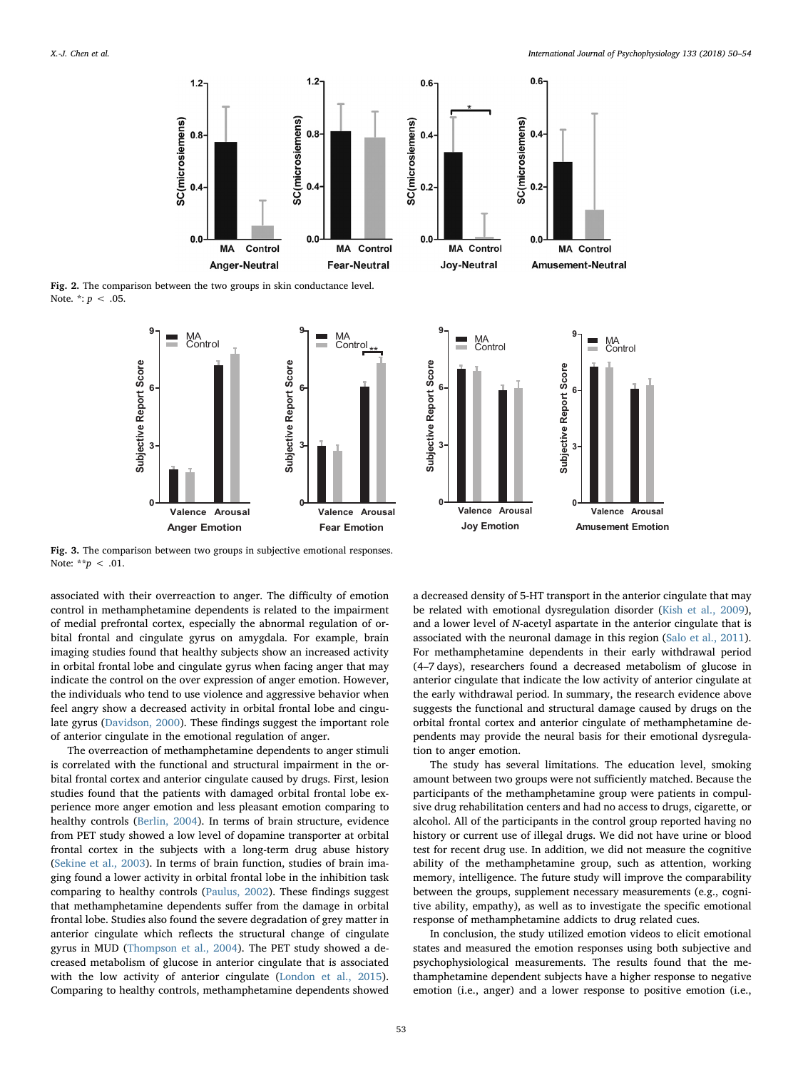<span id="page-3-0"></span>

<span id="page-3-1"></span>Fig. 2. The comparison between the two groups in skin conductance level. Note.  $*: p < .05$ .





 $0.2$ 

Fig. 3. The comparison between two groups in subjective emotional responses. Note: \*\* $p < .01$ .

associated with their overreaction to anger. The difficulty of emotion control in methamphetamine dependents is related to the impairment of medial prefrontal cortex, especially the abnormal regulation of orbital frontal and cingulate gyrus on amygdala. For example, brain imaging studies found that healthy subjects show an increased activity in orbital frontal lobe and cingulate gyrus when facing anger that may indicate the control on the over expression of anger emotion. However, the individuals who tend to use violence and aggressive behavior when feel angry show a decreased activity in orbital frontal lobe and cingulate gyrus ([Davidson, 2000\)](#page-4-25). These findings suggest the important role of anterior cingulate in the emotional regulation of anger.

The overreaction of methamphetamine dependents to anger stimuli is correlated with the functional and structural impairment in the orbital frontal cortex and anterior cingulate caused by drugs. First, lesion studies found that the patients with damaged orbital frontal lobe experience more anger emotion and less pleasant emotion comparing to healthy controls ([Berlin, 2004](#page-4-26)). In terms of brain structure, evidence from PET study showed a low level of dopamine transporter at orbital frontal cortex in the subjects with a long-term drug abuse history ([Sekine et al., 2003\)](#page-4-27). In terms of brain function, studies of brain imaging found a lower activity in orbital frontal lobe in the inhibition task comparing to healthy controls ([Paulus, 2002](#page-4-28)). These findings suggest that methamphetamine dependents suffer from the damage in orbital frontal lobe. Studies also found the severe degradation of grey matter in anterior cingulate which reflects the structural change of cingulate gyrus in MUD [\(Thompson et al., 2004](#page-4-29)). The PET study showed a decreased metabolism of glucose in anterior cingulate that is associated with the low activity of anterior cingulate [\(London et al., 2015](#page-4-30)). Comparing to healthy controls, methamphetamine dependents showed

a decreased density of 5-HT transport in the anterior cingulate that may be related with emotional dysregulation disorder [\(Kish et al., 2009](#page-4-31)), and a lower level of N-acetyl aspartate in the anterior cingulate that is associated with the neuronal damage in this region [\(Salo et al., 2011](#page-4-32)). For methamphetamine dependents in their early withdrawal period (4–7 days), researchers found a decreased metabolism of glucose in anterior cingulate that indicate the low activity of anterior cingulate at the early withdrawal period. In summary, the research evidence above suggests the functional and structural damage caused by drugs on the orbital frontal cortex and anterior cingulate of methamphetamine dependents may provide the neural basis for their emotional dysregulation to anger emotion.

The study has several limitations. The education level, smoking amount between two groups were not sufficiently matched. Because the participants of the methamphetamine group were patients in compulsive drug rehabilitation centers and had no access to drugs, cigarette, or alcohol. All of the participants in the control group reported having no history or current use of illegal drugs. We did not have urine or blood test for recent drug use. In addition, we did not measure the cognitive ability of the methamphetamine group, such as attention, working memory, intelligence. The future study will improve the comparability between the groups, supplement necessary measurements (e.g., cognitive ability, empathy), as well as to investigate the specific emotional response of methamphetamine addicts to drug related cues.

In conclusion, the study utilized emotion videos to elicit emotional states and measured the emotion responses using both subjective and psychophysiological measurements. The results found that the methamphetamine dependent subjects have a higher response to negative emotion (i.e., anger) and a lower response to positive emotion (i.e.,